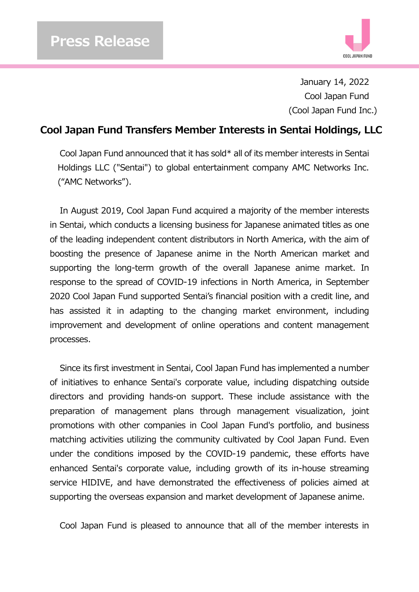

January 14, 2022 Cool Japan Fund (Cool Japan Fund Inc.)

## **Cool Japan Fund Transfers Member Interests in Sentai Holdings, LLC**

Cool Japan Fund announced that it has sold\* all of its member interests in Sentai Holdings LLC ("Sentai") to global entertainment company AMC Networks Inc. ("AMC Networks").

In August 2019, Cool Japan Fund acquired a majority of the member interests in Sentai, which conducts a licensing business for Japanese animated titles as one of the leading independent content distributors in North America, with the aim of boosting the presence of Japanese anime in the North American market and supporting the long-term growth of the overall Japanese anime market. In response to the spread of COVID-19 infections in North America, in September 2020 Cool Japan Fund supported Sentai's financial position with a credit line, and has assisted it in adapting to the changing market environment, including improvement and development of online operations and content management processes.

Since its first investment in Sentai, Cool Japan Fund has implemented a number of initiatives to enhance Sentai's corporate value, including dispatching outside directors and providing hands-on support. These include assistance with the preparation of management plans through management visualization, joint promotions with other companies in Cool Japan Fund's portfolio, and business matching activities utilizing the community cultivated by Cool Japan Fund. Even under the conditions imposed by the COVID-19 pandemic, these efforts have enhanced Sentai's corporate value, including growth of its in-house streaming service HIDIVE, and have demonstrated the effectiveness of policies aimed at supporting the overseas expansion and market development of Japanese anime.

Cool Japan Fund is pleased to announce that all of the member interests in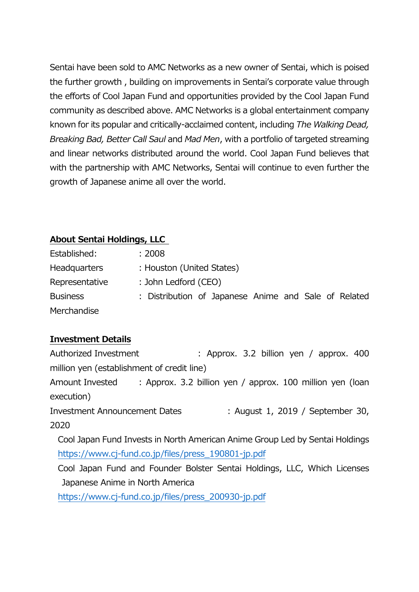Sentai have been sold to AMC Networks as a new owner of Sentai, which is poised the further growth , building on improvements in Sentai's corporate value through the efforts of Cool Japan Fund and opportunities provided by the Cool Japan Fund community as described above. AMC Networks is a global entertainment company known for its popular and critically-acclaimed content, including *The Walking Dead, Breaking Bad, Better Call Saul* and *Mad Men*, with a portfolio of targeted streaming and linear networks distributed around the world. Cool Japan Fund believes that with the partnership with AMC Networks, Sentai will continue to even further the growth of Japanese anime all over the world.

## **About Sentai Holdings, LLC**

| Established:        | : 2008                                               |
|---------------------|------------------------------------------------------|
| <b>Headquarters</b> | : Houston (United States)                            |
| Representative      | : John Ledford (CEO)                                 |
| <b>Business</b>     | : Distribution of Japanese Anime and Sale of Related |
| Merchandise         |                                                      |

## **Investment Details**

Authorized Investment : Approx. 3.2 billion yen / approx. 400 million yen (establishment of credit line) Amount Invested : Approx. 3.2 billion yen / approx. 100 million yen (loan execution) Investment Announcement Dates : August 1, 2019 / September 30, 2020 Cool Japan Fund Invests in North American Anime Group Led by Sentai Holdings [https://www.cj-fund.co.jp/files/press\\_190801-jp.pdf](https://www.cj-fund.co.jp/files/press_190801-jp.pdf) Cool Japan Fund and Founder Bolster Sentai Holdings, LLC, Which Licenses Japanese Anime in North America

[https://www.cj-fund.co.jp/files/press\\_200930-jp.pdf](https://www.cj-fund.co.jp/files/press_200930-jp.pdf)